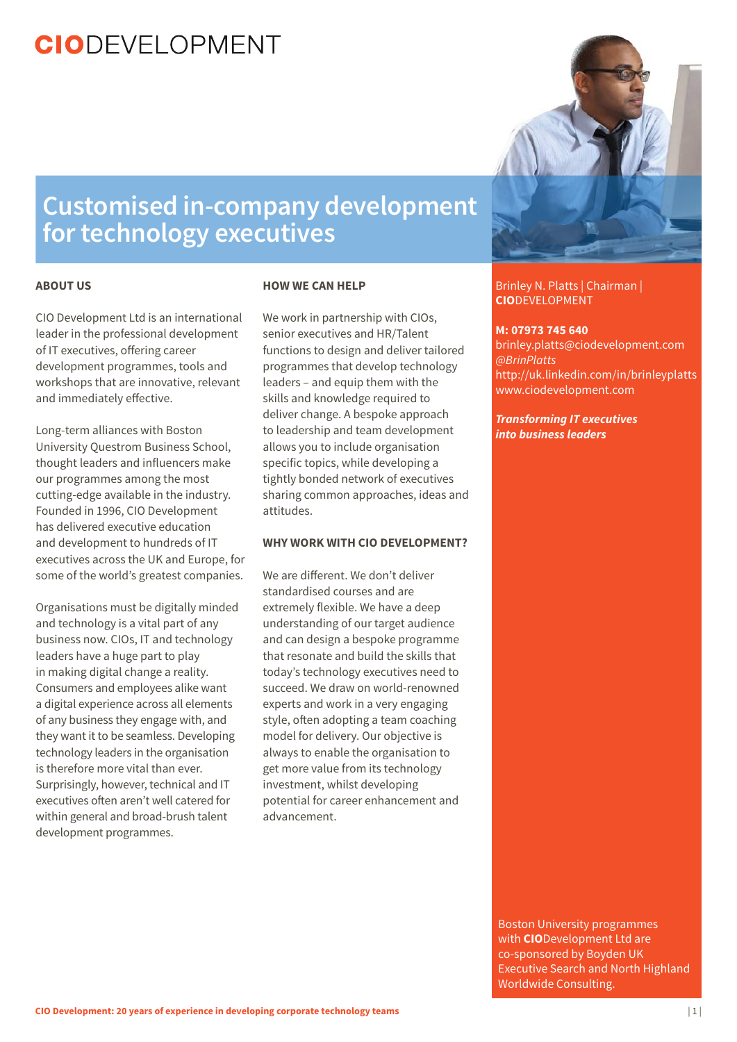### **Customised in-company development for technology executives**

#### **ABOUT US**

CIO Development Ltd is an international leader in the professional development of IT executives, offering career development programmes, tools and workshops that are innovative, relevant and immediately effective.

Long-term alliances with Boston University Questrom Business School, thought leaders and influencers make our programmes among the most cutting-edge available in the industry. Founded in 1996, CIO Development has delivered executive education and development to hundreds of IT executives across the UK and Europe, for some of the world's greatest companies.

Organisations must be digitally minded and technology is a vital part of any business now. CIOs, IT and technology leaders have a huge part to play in making digital change a reality. Consumers and employees alike want a digital experience across all elements of any business they engage with, and they want it to be seamless. Developing technology leaders in the organisation is therefore more vital than ever. Surprisingly, however, technical and IT executives often aren't well catered for within general and broad-brush talent development programmes.

#### **HOW WE CAN HELP**

We work in partnership with CIOs, senior executives and HR/Talent functions to design and deliver tailored programmes that develop technology leaders – and equip them with the skills and knowledge required to deliver change. A bespoke approach to leadership and team development allows you to include organisation specific topics, while developing a tightly bonded network of executives sharing common approaches, ideas and attitudes.

#### **WHY WORK WITH CIO DEVELOPMENT?**

We are different. We don't deliver standardised courses and are extremely flexible. We have a deep understanding of our target audience and can design a bespoke programme that resonate and build the skills that today's technology executives need to succeed. We draw on world-renowned experts and work in a very engaging style, often adopting a team coaching model for delivery. Our objective is always to enable the organisation to get more value from its technology investment, whilst developing potential for career enhancement and advancement.



#### Brinley N. Platts | Chairman | **CIO**DEVELOPMENT

#### **M: 07973 745 640**

brinley.platts@ciodevelopment.com *@BrinPlatts* http://uk.linkedin.com/in/brinleyplatts www.ciodevelopment.com

*Transforming IT executives into business leaders*

Boston University programmes with **CIO**Development Ltd are co-sponsored by Boyden UK Executive Search and North Highland Worldwide Consulting.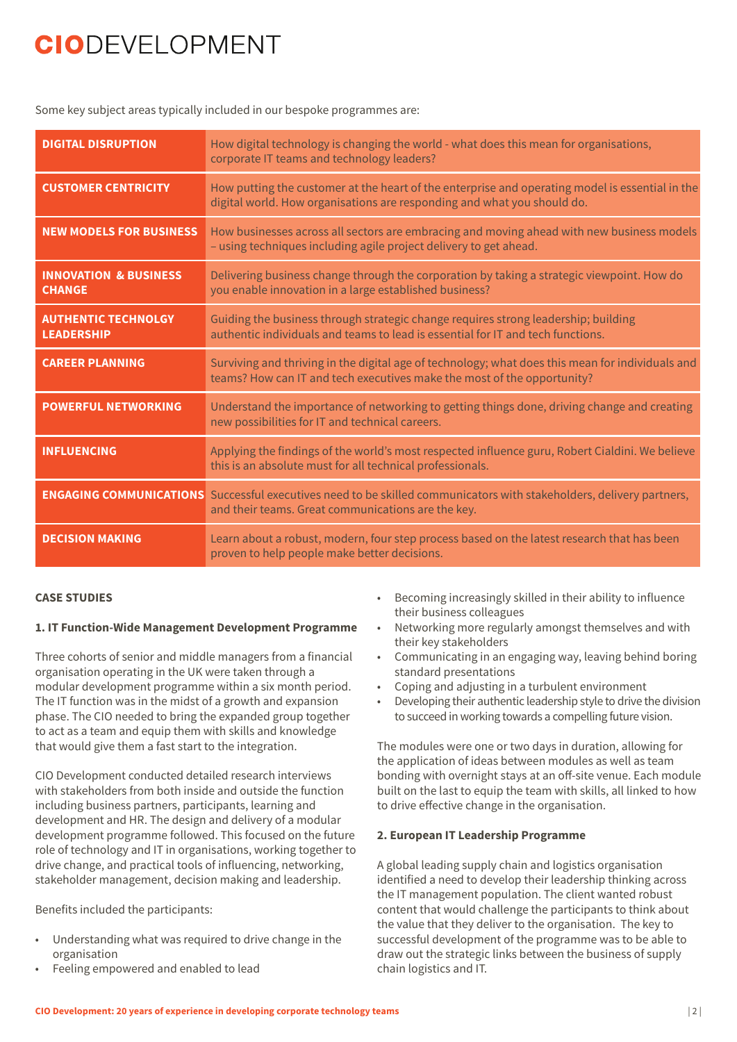Some key subject areas typically included in our bespoke programmes are:

| <b>DIGITAL DISRUPTION</b>                         | How digital technology is changing the world - what does this mean for organisations,<br>corporate IT teams and technology leaders?                                               |
|---------------------------------------------------|-----------------------------------------------------------------------------------------------------------------------------------------------------------------------------------|
| <b>CUSTOMER CENTRICITY</b>                        | How putting the customer at the heart of the enterprise and operating model is essential in the<br>digital world. How organisations are responding and what you should do.        |
| <b>NEW MODELS FOR BUSINESS</b>                    | How businesses across all sectors are embracing and moving ahead with new business models<br>- using techniques including agile project delivery to get ahead.                    |
| <b>INNOVATION &amp; BUSINESS</b><br><b>CHANGE</b> | Delivering business change through the corporation by taking a strategic viewpoint. How do<br>you enable innovation in a large established business?                              |
| <b>AUTHENTIC TECHNOLGY</b><br><b>LEADERSHIP</b>   | Guiding the business through strategic change requires strong leadership; building<br>authentic individuals and teams to lead is essential for IT and tech functions.             |
| <b>CAREER PLANNING</b>                            | Surviving and thriving in the digital age of technology; what does this mean for individuals and<br>teams? How can IT and tech executives make the most of the opportunity?       |
| <b>POWERFUL NETWORKING</b>                        | Understand the importance of networking to getting things done, driving change and creating<br>new possibilities for IT and technical careers.                                    |
| <b>INFLUENCING</b>                                | Applying the findings of the world's most respected influence guru, Robert Cialdini. We believe<br>this is an absolute must for all technical professionals.                      |
|                                                   | <b>ENGAGING COMMUNICATIONS</b> Successful executives need to be skilled communicators with stakeholders, delivery partners,<br>and their teams. Great communications are the key. |
| <b>DECISION MAKING</b>                            | Learn about a robust, modern, four step process based on the latest research that has been<br>proven to help people make better decisions.                                        |

#### **CASE STUDIES**

#### **1. IT Function-Wide Management Development Programme**

Three cohorts of senior and middle managers from a financial organisation operating in the UK were taken through a modular development programme within a six month period. The IT function was in the midst of a growth and expansion phase. The CIO needed to bring the expanded group together to act as a team and equip them with skills and knowledge that would give them a fast start to the integration.

CIO Development conducted detailed research interviews with stakeholders from both inside and outside the function including business partners, participants, learning and development and HR. The design and delivery of a modular development programme followed. This focused on the future role of technology and IT in organisations, working together to drive change, and practical tools of influencing, networking, stakeholder management, decision making and leadership.

Benefits included the participants:

- • Understanding what was required to drive change in the organisation
- Feeling empowered and enabled to lead
- Becoming increasingly skilled in their ability to influence their business colleagues
- Networking more regularly amongst themselves and with their key stakeholders
- Communicating in an engaging way, leaving behind boring standard presentations
- Coping and adjusting in a turbulent environment
- Developing their authentic leadership style to drive the division to succeed in working towards a compelling future vision.

The modules were one or two days in duration, allowing for the application of ideas between modules as well as team bonding with overnight stays at an off-site venue. Each module built on the last to equip the team with skills, all linked to how to drive effective change in the organisation.

#### **2. European IT Leadership Programme**

A global leading supply chain and logistics organisation identified a need to develop their leadership thinking across the IT management population. The client wanted robust content that would challenge the participants to think about the value that they deliver to the organisation. The key to successful development of the programme was to be able to draw out the strategic links between the business of supply chain logistics and IT.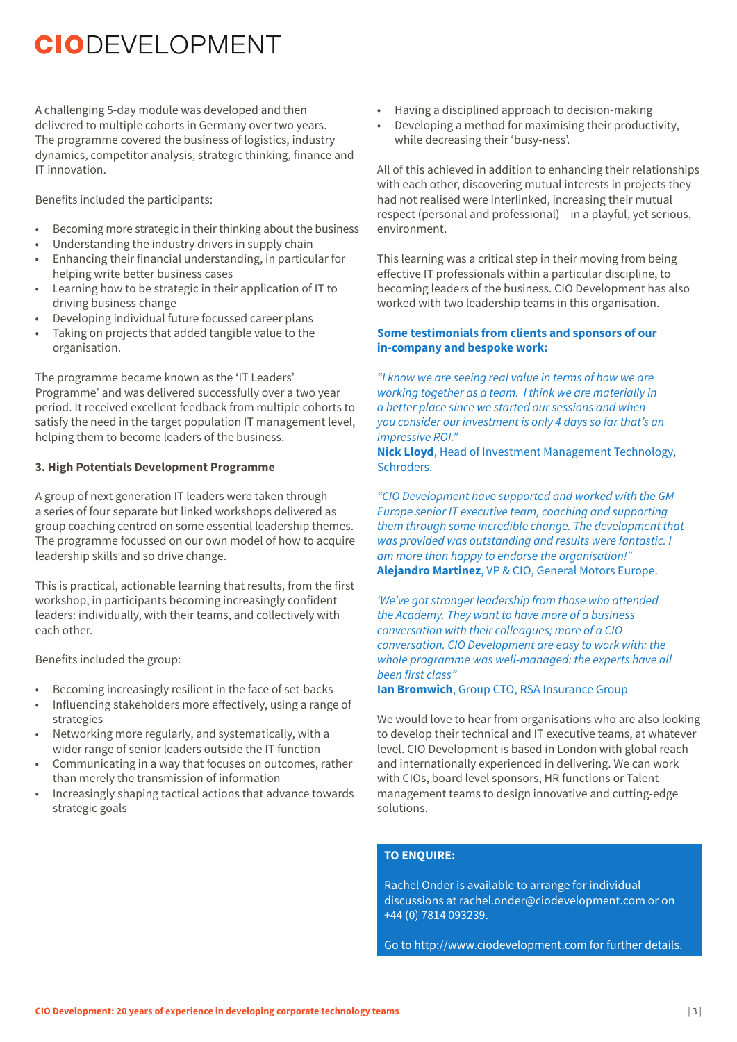A challenging 5-day module was developed and then delivered to multiple cohorts in Germany over two years. The programme covered the business of logistics, industry dynamics, competitor analysis, strategic thinking, finance and IT innovation.

Benefits included the participants:

- • Becoming more strategic in their thinking about the business
- • Understanding the industry drivers in supply chain
- Enhancing their financial understanding, in particular for helping write better business cases
- Learning how to be strategic in their application of IT to driving business change
- Developing individual future focussed career plans
- Taking on projects that added tangible value to the organisation.

The programme became known as the 'IT Leaders' Programme' and was delivered successfully over a two year period. It received excellent feedback from multiple cohorts to satisfy the need in the target population IT management level, helping them to become leaders of the business.

#### **3. High Potentials Development Programme**

A group of next generation IT leaders were taken through a series of four separate but linked workshops delivered as group coaching centred on some essential leadership themes. The programme focussed on our own model of how to acquire leadership skills and so drive change.

This is practical, actionable learning that results, from the first workshop, in participants becoming increasingly confident leaders: individually, with their teams, and collectively with each other.

Benefits included the group:

- • Becoming increasingly resilient in the face of set-backs
- Influencing stakeholders more effectively, using a range of strategies
- Networking more regularly, and systematically, with a wider range of senior leaders outside the IT function
- Communicating in a way that focuses on outcomes, rather than merely the transmission of information
- • Increasingly shaping tactical actions that advance towards strategic goals
- Having a disciplined approach to decision-making
- Developing a method for maximising their productivity, while decreasing their 'busy-ness'.

All of this achieved in addition to enhancing their relationships with each other, discovering mutual interests in projects they had not realised were interlinked, increasing their mutual respect (personal and professional) – in a playful, yet serious, environment.

This learning was a critical step in their moving from being effective IT professionals within a particular discipline, to becoming leaders of the business. CIO Development has also worked with two leadership teams in this organisation.

### **Some testimonials from clients and sponsors of our in-company and bespoke work:**

*"I know we are seeing real value in terms of how we are working together as a team. I think we are materially in a better place since we started our sessions and when you consider our investment is only 4 days so far that's an impressive ROI."*

**Nick Lloyd**, Head of Investment Management Technology, Schroders.

*"CIO Development have supported and worked with the GM Europe senior IT executive team, coaching and supporting them through some incredible change. The development that was provided was outstanding and results were fantastic. I am more than happy to endorse the organisation!"* **Alejandro Martinez**, VP & CIO, General Motors Europe.

*'We've got stronger leadership from those who attended the Academy. They want to have more of a business conversation with their colleagues; more of a CIO conversation. CIO Development are easy to work with: the whole programme was well-managed: the experts have all been first class"*

### **Ian Bromwich**, Group CTO, RSA Insurance Group

We would love to hear from organisations who are also looking to develop their technical and IT executive teams, at whatever level. CIO Development is based in London with global reach and internationally experienced in delivering. We can work with CIOs, board level sponsors, HR functions or Talent management teams to design innovative and cutting-edge solutions.

### **TO ENQUIRE:**

Rachel Onder is available to arrange for individual discussions at rachel.onder@ciodevelopment.com or on +44 (0) 7814 093239.

Go to http://www.ciodevelopment.com for further details.